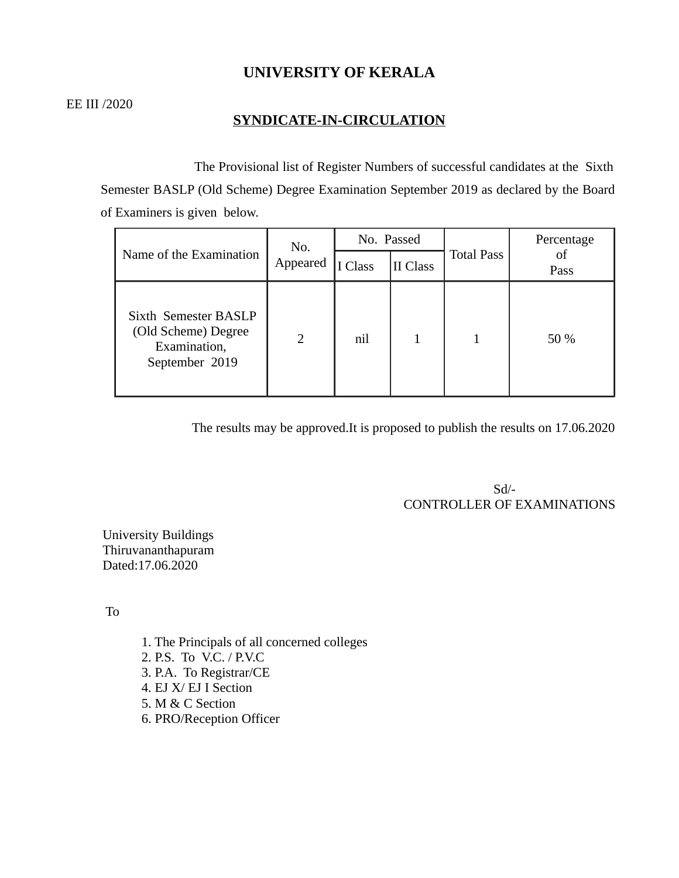# **UNIVERSITY OF KERALA**

# **SYNDICATE-IN-CIRCULATION**

 The Provisional list of Register Numbers of successful candidates at the Sixth Semester BASLP (Old Scheme) Degree Examination September 2019 as declared by the Board of Examiners is given below.

| Name of the Examination                                                       | No.<br>Appeared | No. Passed |          |                   | Percentage |
|-------------------------------------------------------------------------------|-----------------|------------|----------|-------------------|------------|
|                                                                               |                 | Class      | II Class | <b>Total Pass</b> | οf<br>Pass |
| Sixth Semester BASLP<br>(Old Scheme) Degree<br>Examination,<br>September 2019 | 2               | nil        |          | 1                 | 50 %       |

The results may be approved.It is proposed to publish the results on 17.06.2020

 Sd/- CONTROLLER OF EXAMINATIONS

University Buildings Thiruvananthapuram Dated:17.06.2020

To

1. The Principals of all concerned colleges 2. P.S. To V.C. / P.V.C 3. P.A. To Registrar/CE 4. EJ X/ EJ I Section 5. M & C Section 6. PRO/Reception Officer